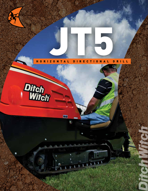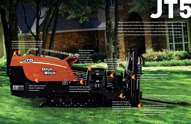**Compact and maneuverable JT5 fits through a 36-inch (910-mm) yard gate; at 120 inches (3.1 m) long, it can be set up on the street with minimal traffic disruption.**

**Ergonomic operator's station features a stationary seat, automatic fluid shutoff control and easy visibility of the**  *red* remote display.

> **Convenient, electrically operated lubrication system helps maximize the life of pipe joints and increase productivity.**

**Field-proven rack-and-pinion thrust drive designed for low maintenance and reliability.**

**Reco** 

**Hood removes easily for access to engine and service points.**

Fо

**Open-top vise wrenches are designed to center the pipe better every time and provide an excellent view of the tool joint.**

**Heavy-duty anchor system keeps the JT5 secure during operation, reduces wear on pipe threads and enables better alignment of pipe during makeup.**

**Specially designed drill**  pipe has aggre **bend radius s can successful install utilitie structures.**

**Experience built the Ditch Witch® JT5 Horizontal Directional Drill. With input from our customers**  Jacques Company of the Mith Handle Company of the Mith Handle Company of the Mith Handle Company **and their many years of experience installing utilities on tight jobsites, our engineers developed the ideal compact rig with the right amount of thrust and pullback for shallow installations of cable, fiber and water systems up to 150 feet in length (46 m) beneath roads, driveways, sidewalks, sensitive landscaping, and other surface obstacles. The JT5 is a true team effort.**

2

 $13.1113.1$ 

**South Sports and** 

 $\Delta$ 

3

e<br>K

4

77

5

7

8

**Ditch** 

**Witch** 

6

1